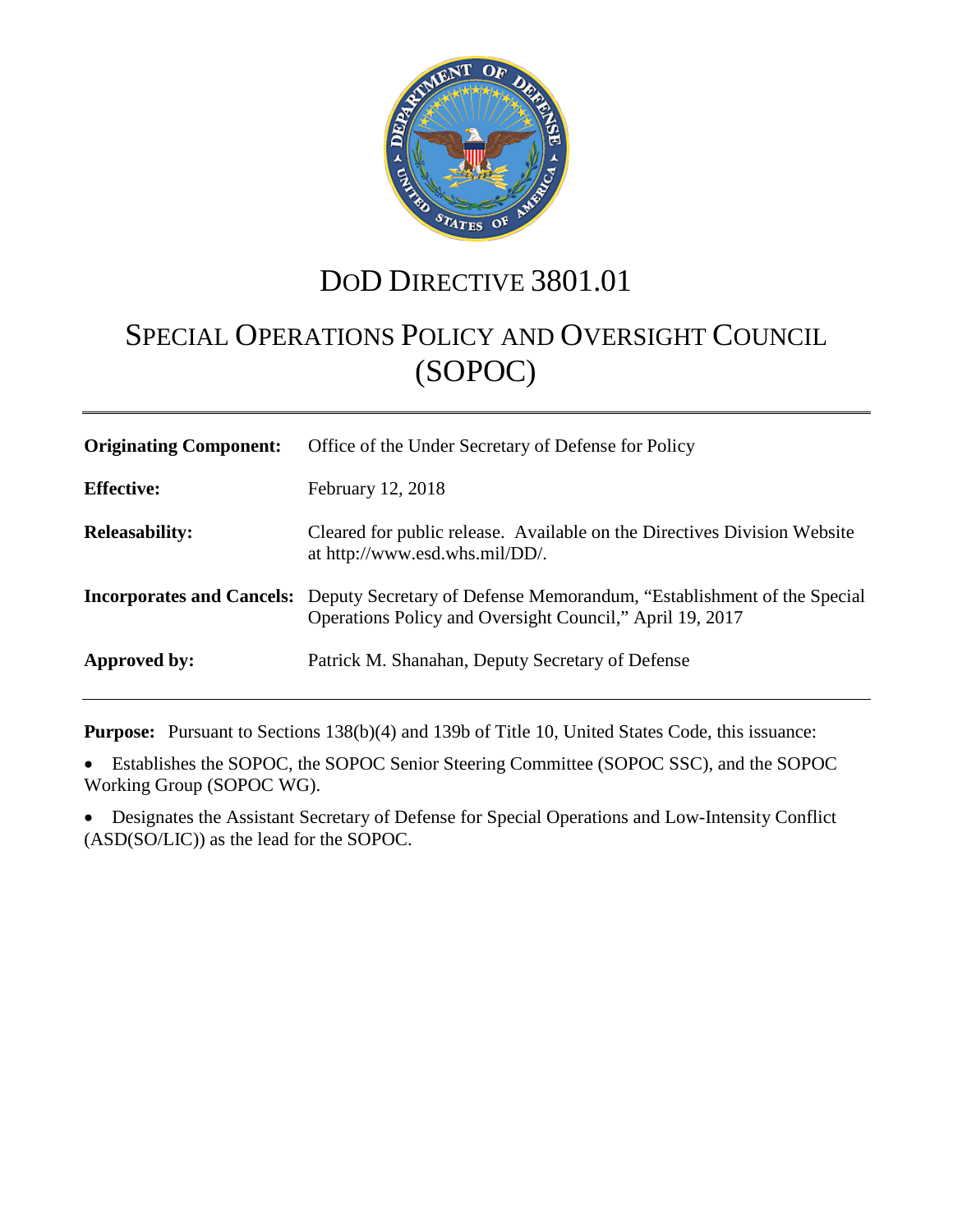

# DOD DIRECTIVE 3801.01

# SPECIAL OPERATIONS POLICY AND OVERSIGHT COUNCIL (SOPOC)

| <b>Originating Component:</b> | Office of the Under Secretary of Defense for Policy                                                                                                                 |
|-------------------------------|---------------------------------------------------------------------------------------------------------------------------------------------------------------------|
| <b>Effective:</b>             | February 12, 2018                                                                                                                                                   |
| <b>Releasability:</b>         | Cleared for public release. Available on the Directives Division Website<br>at http://www.esd.whs.mil/DD/.                                                          |
|                               | <b>Incorporates and Cancels:</b> Deputy Secretary of Defense Memorandum, "Establishment of the Special"<br>Operations Policy and Oversight Council," April 19, 2017 |
| Approved by:                  | Patrick M. Shanahan, Deputy Secretary of Defense                                                                                                                    |

**Purpose:** Pursuant to Sections 138(b)(4) and 139b of Title 10, United States Code, this issuance:

• Establishes the SOPOC, the SOPOC Senior Steering Committee (SOPOC SSC), and the SOPOC Working Group (SOPOC WG).

• Designates the Assistant Secretary of Defense for Special Operations and Low-Intensity Conflict (ASD(SO/LIC)) as the lead for the SOPOC.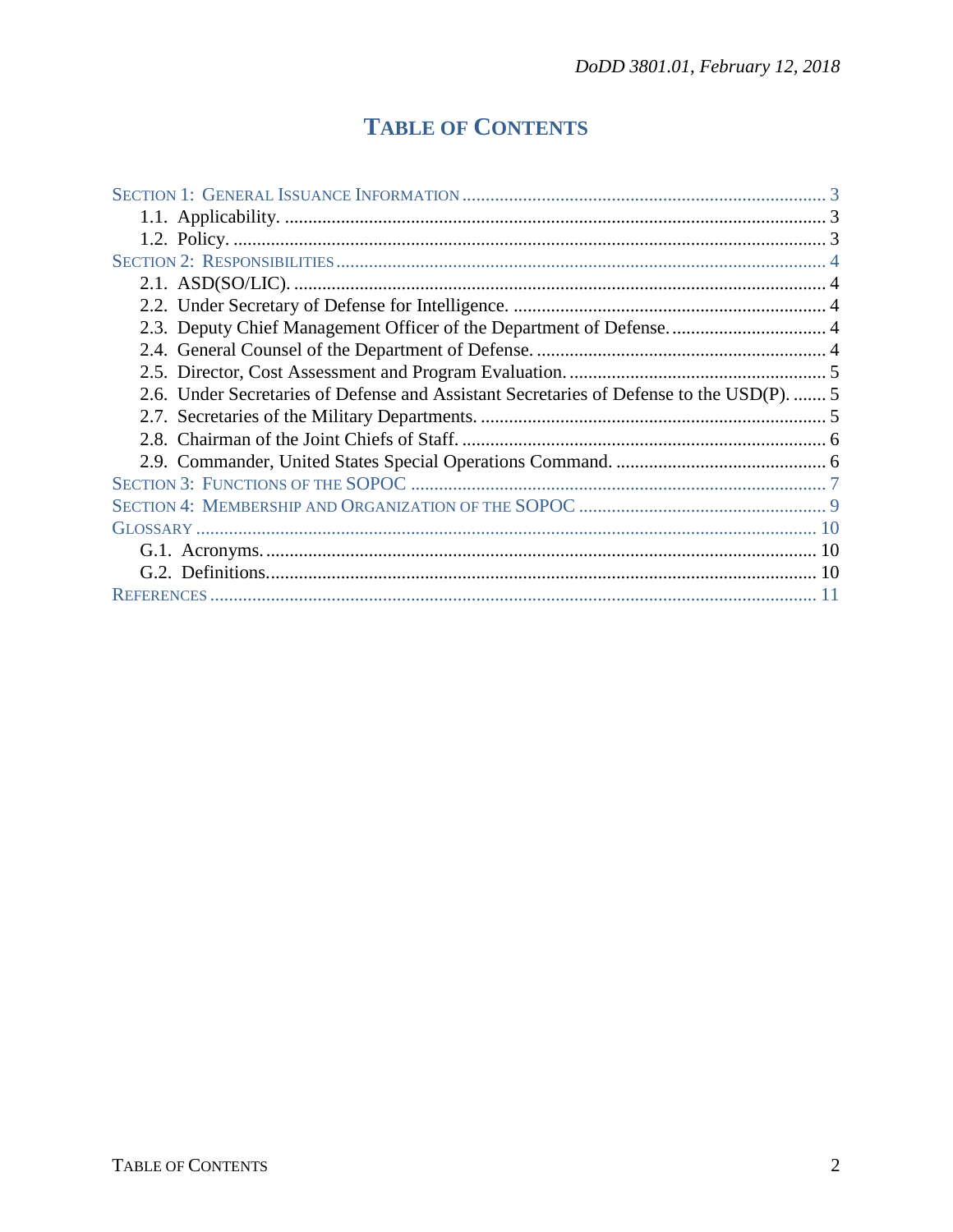# **TABLE OF CONTENTS**

| 2.6. Under Secretaries of Defense and Assistant Secretaries of Defense to the USD(P).  5 |  |  |
|------------------------------------------------------------------------------------------|--|--|
|                                                                                          |  |  |
|                                                                                          |  |  |
|                                                                                          |  |  |
|                                                                                          |  |  |
|                                                                                          |  |  |
|                                                                                          |  |  |
|                                                                                          |  |  |
|                                                                                          |  |  |
|                                                                                          |  |  |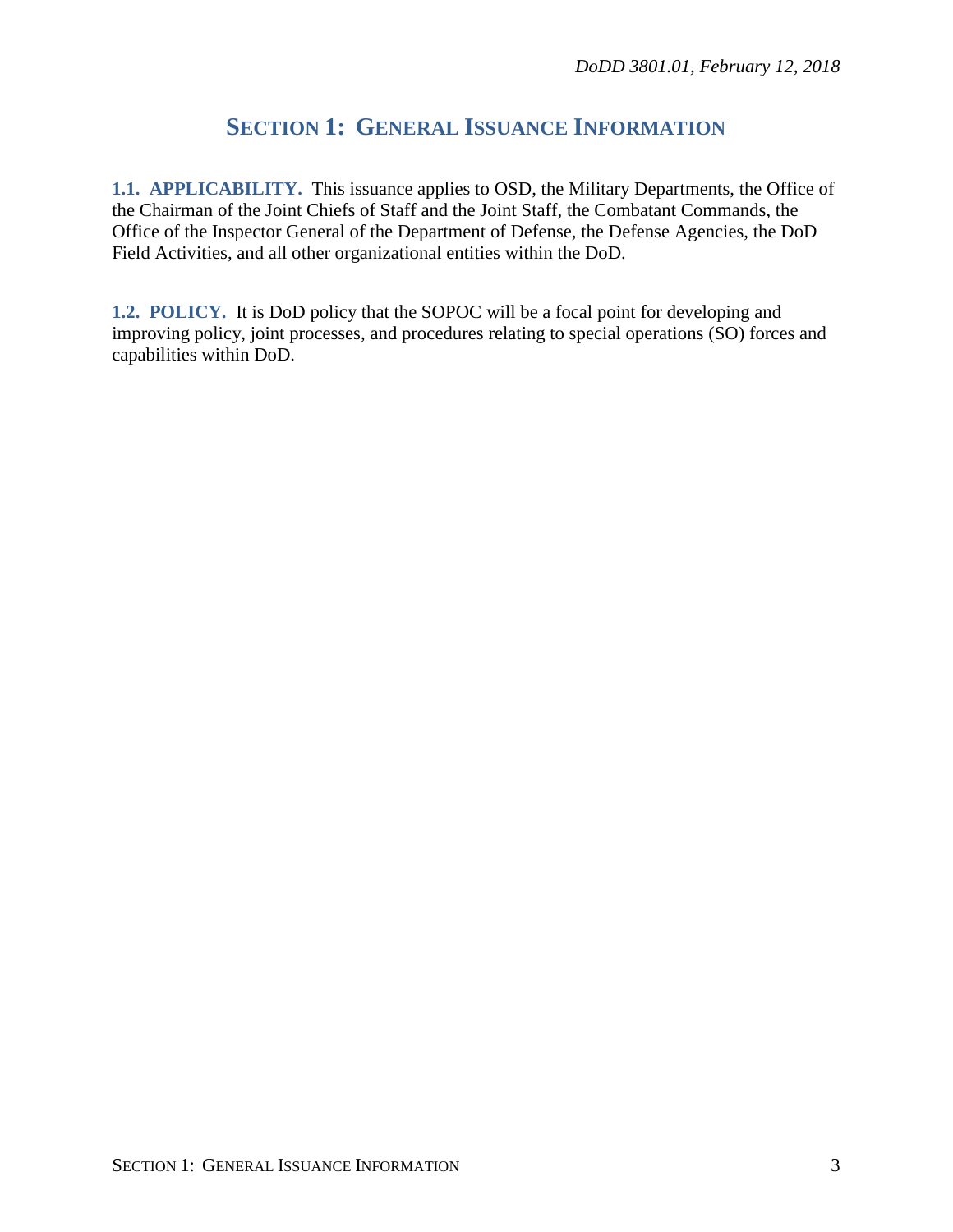# **SECTION 1: GENERAL ISSUANCE INFORMATION**

<span id="page-2-1"></span><span id="page-2-0"></span>**1.1. APPLICABILITY.** This issuance applies to OSD, the Military Departments, the Office of the Chairman of the Joint Chiefs of Staff and the Joint Staff, the Combatant Commands, the Office of the Inspector General of the Department of Defense, the Defense Agencies, the DoD Field Activities, and all other organizational entities within the DoD.

<span id="page-2-2"></span>**1.2. POLICY.** It is DoD policy that the SOPOC will be a focal point for developing and improving policy, joint processes, and procedures relating to special operations (SO) forces and capabilities within DoD.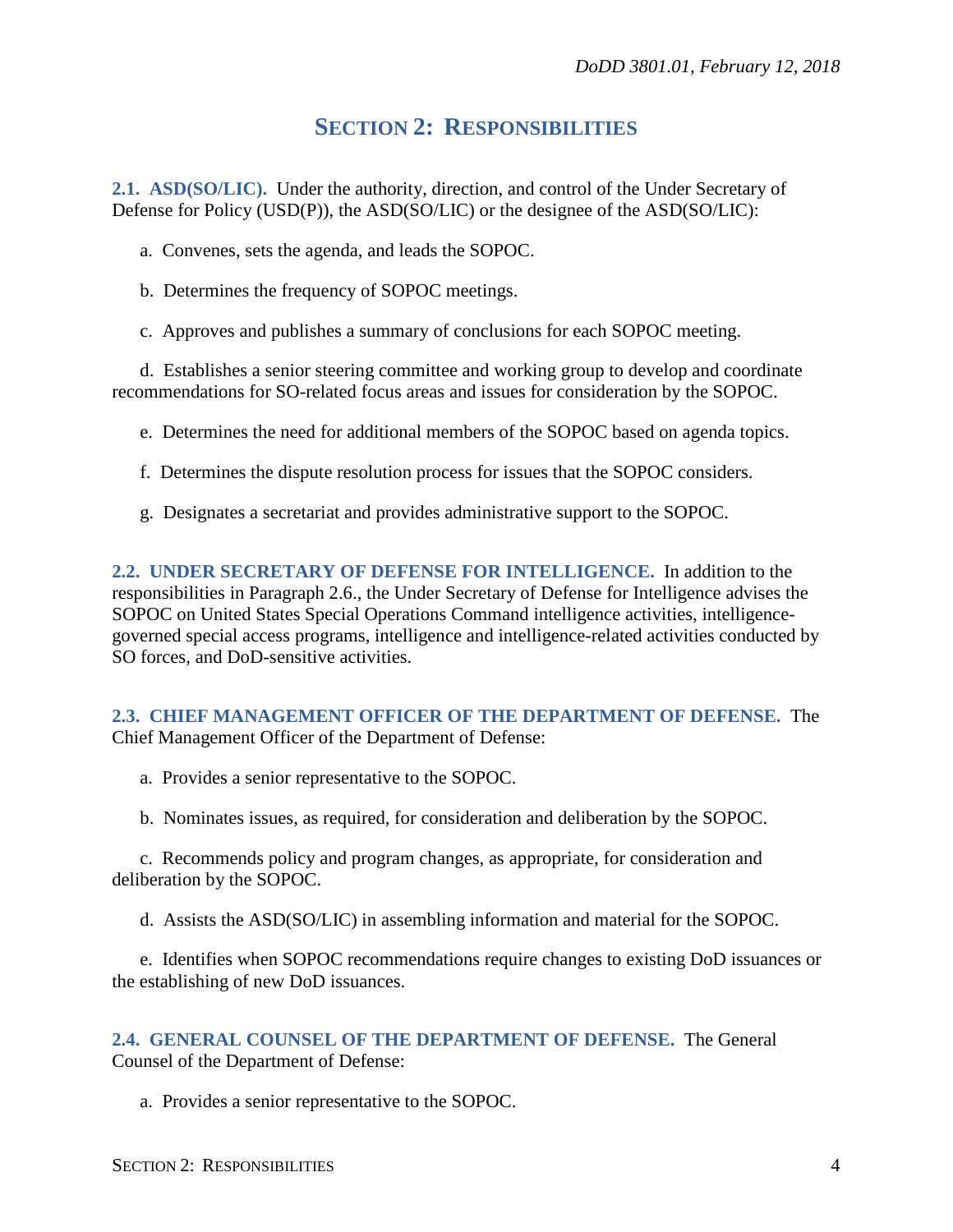### **SECTION 2: RESPONSIBILITIES**

<span id="page-3-1"></span><span id="page-3-0"></span>**2.1. ASD(SO/LIC).** Under the authority, direction, and control of the Under Secretary of Defense for Policy (USD(P)), the ASD(SO/LIC) or the designee of the ASD(SO/LIC):

a. Convenes, sets the agenda, and leads the SOPOC.

b. Determines the frequency of SOPOC meetings.

c. Approves and publishes a summary of conclusions for each SOPOC meeting.

d. Establishes a senior steering committee and working group to develop and coordinate recommendations for SO-related focus areas and issues for consideration by the SOPOC.

e. Determines the need for additional members of the SOPOC based on agenda topics.

f. Determines the dispute resolution process for issues that the SOPOC considers.

g. Designates a secretariat and provides administrative support to the SOPOC.

<span id="page-3-2"></span>**2.2. UNDER SECRETARY OF DEFENSE FOR INTELLIGENCE.** In addition to the responsibilities in Paragraph 2.6., the Under Secretary of Defense for Intelligence advises the SOPOC on United States Special Operations Command intelligence activities, intelligencegoverned special access programs, intelligence and intelligence-related activities conducted by SO forces, and DoD-sensitive activities.

<span id="page-3-3"></span>**2.3. CHIEF MANAGEMENT OFFICER OF THE DEPARTMENT OF DEFENSE.** The Chief Management Officer of the Department of Defense:

a. Provides a senior representative to the SOPOC.

b. Nominates issues, as required, for consideration and deliberation by the SOPOC.

c. Recommends policy and program changes, as appropriate, for consideration and deliberation by the SOPOC.

d. Assists the ASD(SO/LIC) in assembling information and material for the SOPOC.

e. Identifies when SOPOC recommendations require changes to existing DoD issuances or the establishing of new DoD issuances.

<span id="page-3-4"></span>**2.4. GENERAL COUNSEL OF THE DEPARTMENT OF DEFENSE.** The General Counsel of the Department of Defense:

a. Provides a senior representative to the SOPOC.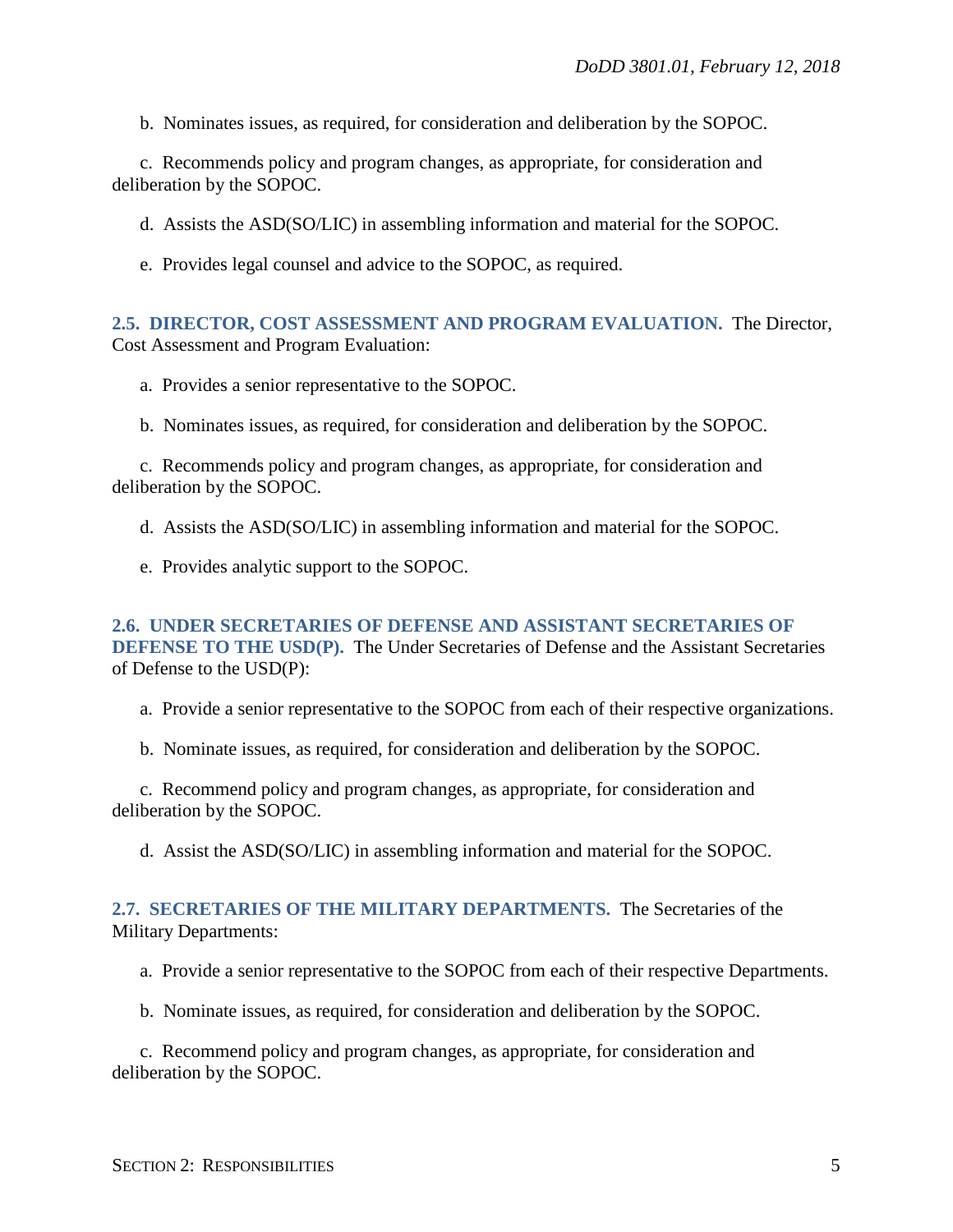b. Nominates issues, as required, for consideration and deliberation by the SOPOC.

c. Recommends policy and program changes, as appropriate, for consideration and deliberation by the SOPOC.

d. Assists the ASD(SO/LIC) in assembling information and material for the SOPOC.

e. Provides legal counsel and advice to the SOPOC, as required.

#### <span id="page-4-0"></span>**2.5. DIRECTOR, COST ASSESSMENT AND PROGRAM EVALUATION.** The Director, Cost Assessment and Program Evaluation:

a. Provides a senior representative to the SOPOC.

b. Nominates issues, as required, for consideration and deliberation by the SOPOC.

c. Recommends policy and program changes, as appropriate, for consideration and deliberation by the SOPOC.

d. Assists the ASD(SO/LIC) in assembling information and material for the SOPOC.

e. Provides analytic support to the SOPOC.

<span id="page-4-1"></span>**2.6. UNDER SECRETARIES OF DEFENSE AND ASSISTANT SECRETARIES OF DEFENSE TO THE USD(P).** The Under Secretaries of Defense and the Assistant Secretaries of Defense to the USD(P):

a. Provide a senior representative to the SOPOC from each of their respective organizations.

b. Nominate issues, as required, for consideration and deliberation by the SOPOC.

c. Recommend policy and program changes, as appropriate, for consideration and deliberation by the SOPOC.

d. Assist the ASD(SO/LIC) in assembling information and material for the SOPOC.

#### <span id="page-4-2"></span>**2.7. SECRETARIES OF THE MILITARY DEPARTMENTS.** The Secretaries of the Military Departments:

a. Provide a senior representative to the SOPOC from each of their respective Departments.

b. Nominate issues, as required, for consideration and deliberation by the SOPOC.

c. Recommend policy and program changes, as appropriate, for consideration and deliberation by the SOPOC.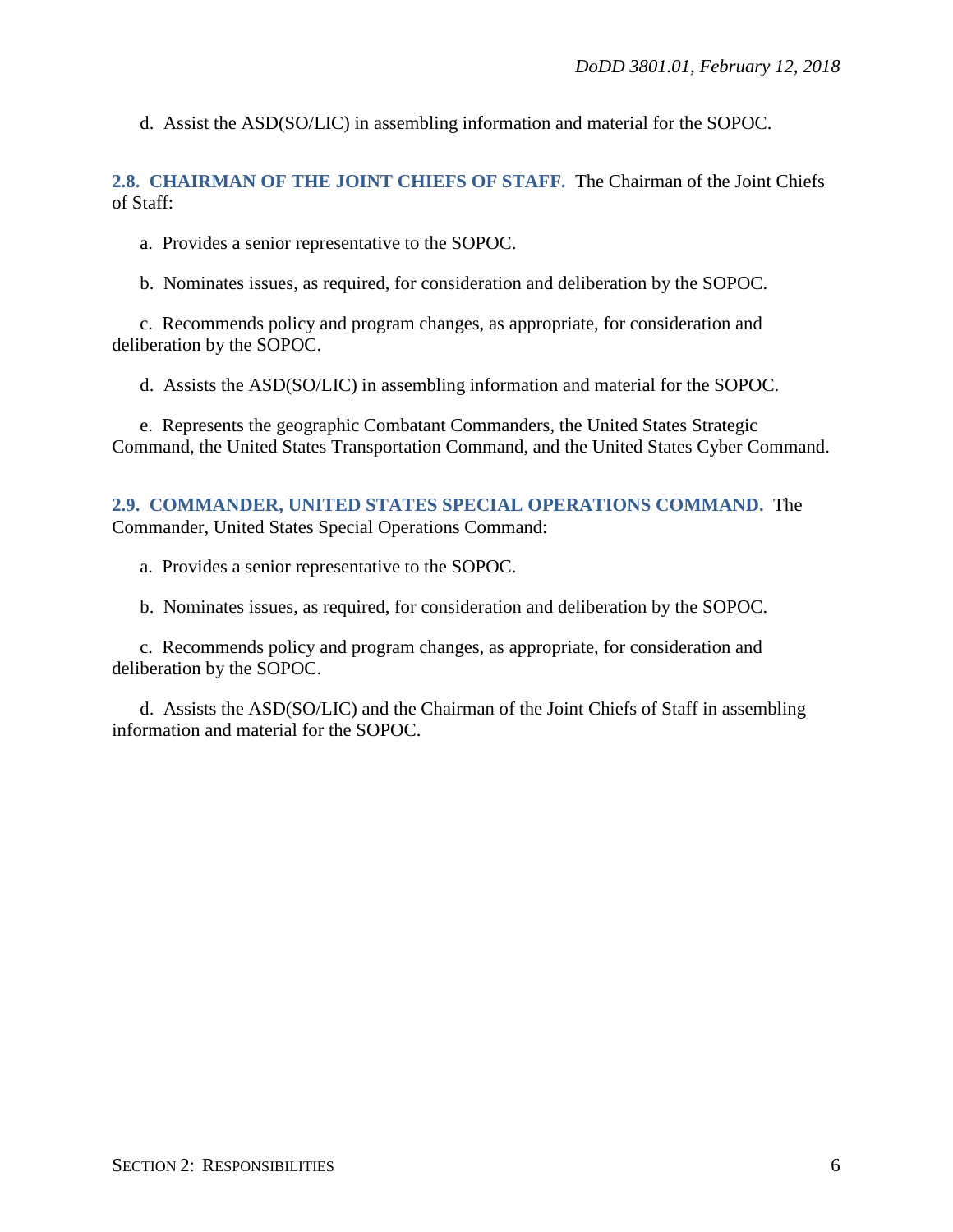d. Assist the ASD(SO/LIC) in assembling information and material for the SOPOC.

<span id="page-5-0"></span>**2.8. CHAIRMAN OF THE JOINT CHIEFS OF STAFF.** The Chairman of the Joint Chiefs of Staff:

a. Provides a senior representative to the SOPOC.

b. Nominates issues, as required, for consideration and deliberation by the SOPOC.

c. Recommends policy and program changes, as appropriate, for consideration and deliberation by the SOPOC.

d. Assists the ASD(SO/LIC) in assembling information and material for the SOPOC.

e. Represents the geographic Combatant Commanders, the United States Strategic Command, the United States Transportation Command, and the United States Cyber Command.

<span id="page-5-1"></span>**2.9. COMMANDER, UNITED STATES SPECIAL OPERATIONS COMMAND.** The Commander, United States Special Operations Command:

a. Provides a senior representative to the SOPOC.

b. Nominates issues, as required, for consideration and deliberation by the SOPOC.

c. Recommends policy and program changes, as appropriate, for consideration and deliberation by the SOPOC.

d. Assists the ASD(SO/LIC) and the Chairman of the Joint Chiefs of Staff in assembling information and material for the SOPOC.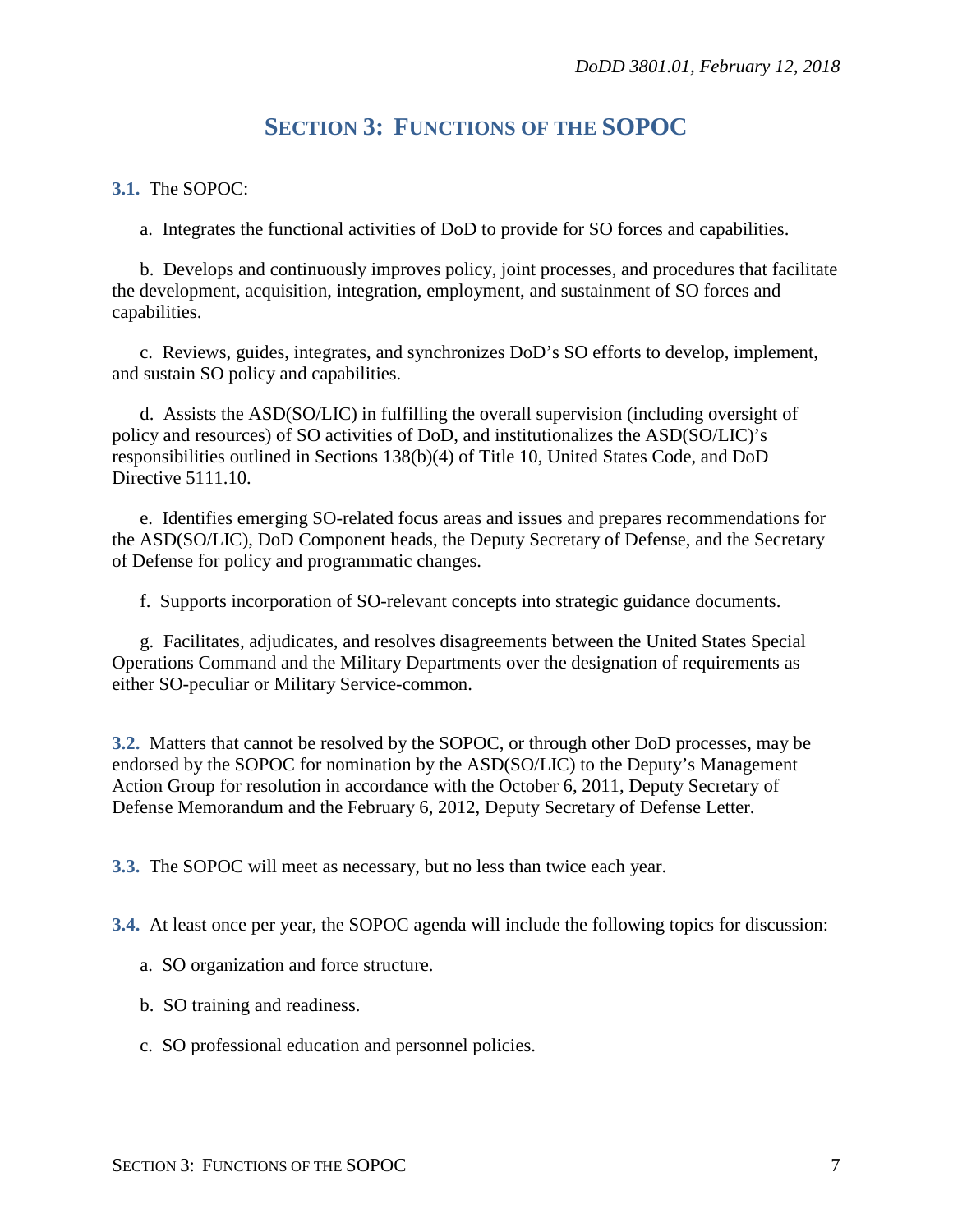## **SECTION 3: FUNCTIONS OF THE SOPOC**

#### <span id="page-6-0"></span>**3.1.** The SOPOC:

a. Integrates the functional activities of DoD to provide for SO forces and capabilities.

b. Develops and continuously improves policy, joint processes, and procedures that facilitate the development, acquisition, integration, employment, and sustainment of SO forces and capabilities.

c. Reviews, guides, integrates, and synchronizes DoD's SO efforts to develop, implement, and sustain SO policy and capabilities.

d. Assists the ASD(SO/LIC) in fulfilling the overall supervision (including oversight of policy and resources) of SO activities of DoD, and institutionalizes the ASD(SO/LIC)'s responsibilities outlined in Sections 138(b)(4) of Title 10, United States Code, and DoD Directive 5111.10.

e. Identifies emerging SO-related focus areas and issues and prepares recommendations for the ASD(SO/LIC), DoD Component heads, the Deputy Secretary of Defense, and the Secretary of Defense for policy and programmatic changes.

f. Supports incorporation of SO-relevant concepts into strategic guidance documents.

g. Facilitates, adjudicates, and resolves disagreements between the United States Special Operations Command and the Military Departments over the designation of requirements as either SO-peculiar or Military Service-common.

**3.2.** Matters that cannot be resolved by the SOPOC, or through other DoD processes, may be endorsed by the SOPOC for nomination by the ASD(SO/LIC) to the Deputy's Management Action Group for resolution in accordance with the October 6, 2011, Deputy Secretary of Defense Memorandum and the February 6, 2012, Deputy Secretary of Defense Letter.

**3.3.** The SOPOC will meet as necessary, but no less than twice each year.

**3.4.** At least once per year, the SOPOC agenda will include the following topics for discussion:

- a. SO organization and force structure.
- b. SO training and readiness.
- c. SO professional education and personnel policies.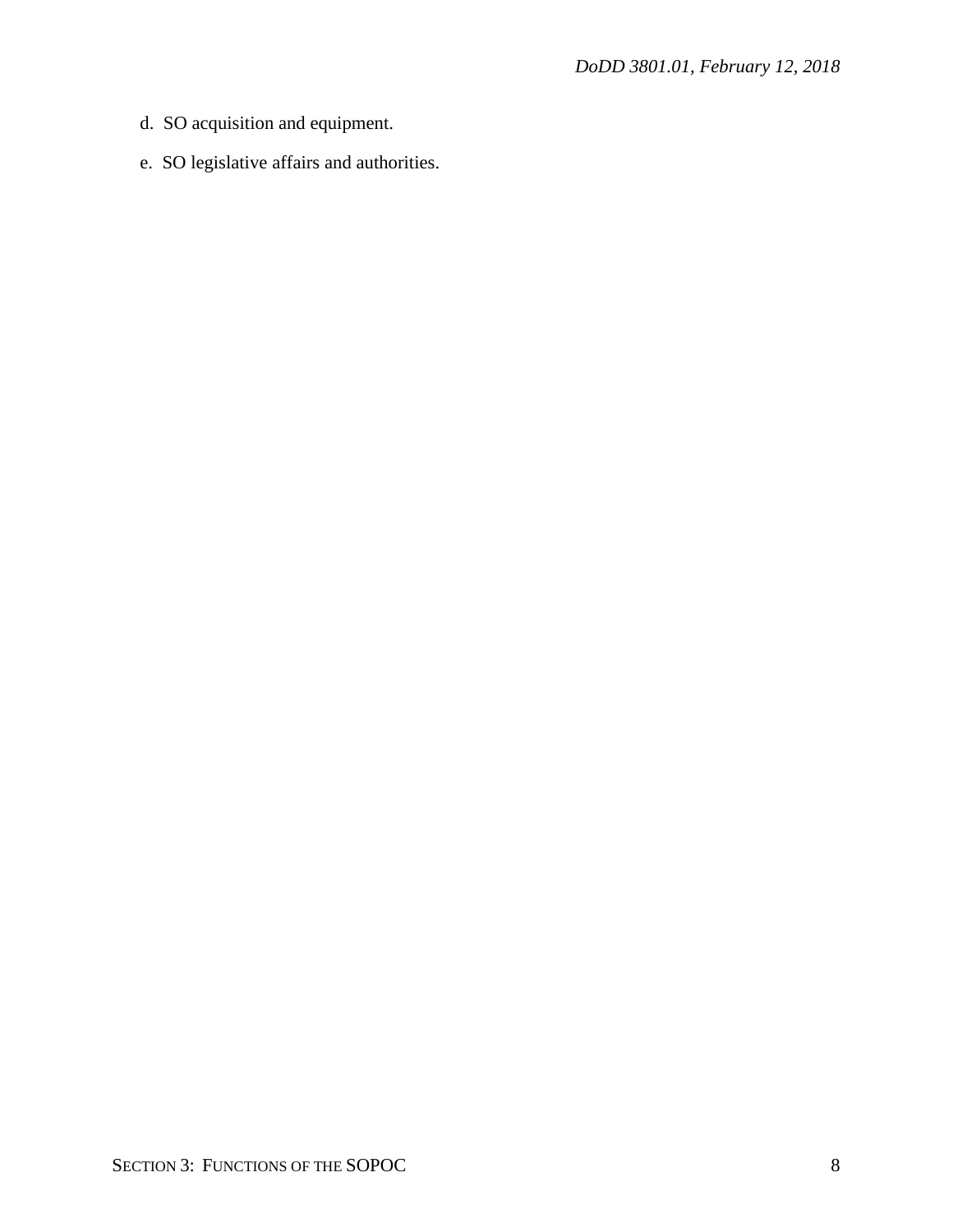- d. SO acquisition and equipment.
- e. SO legislative affairs and authorities.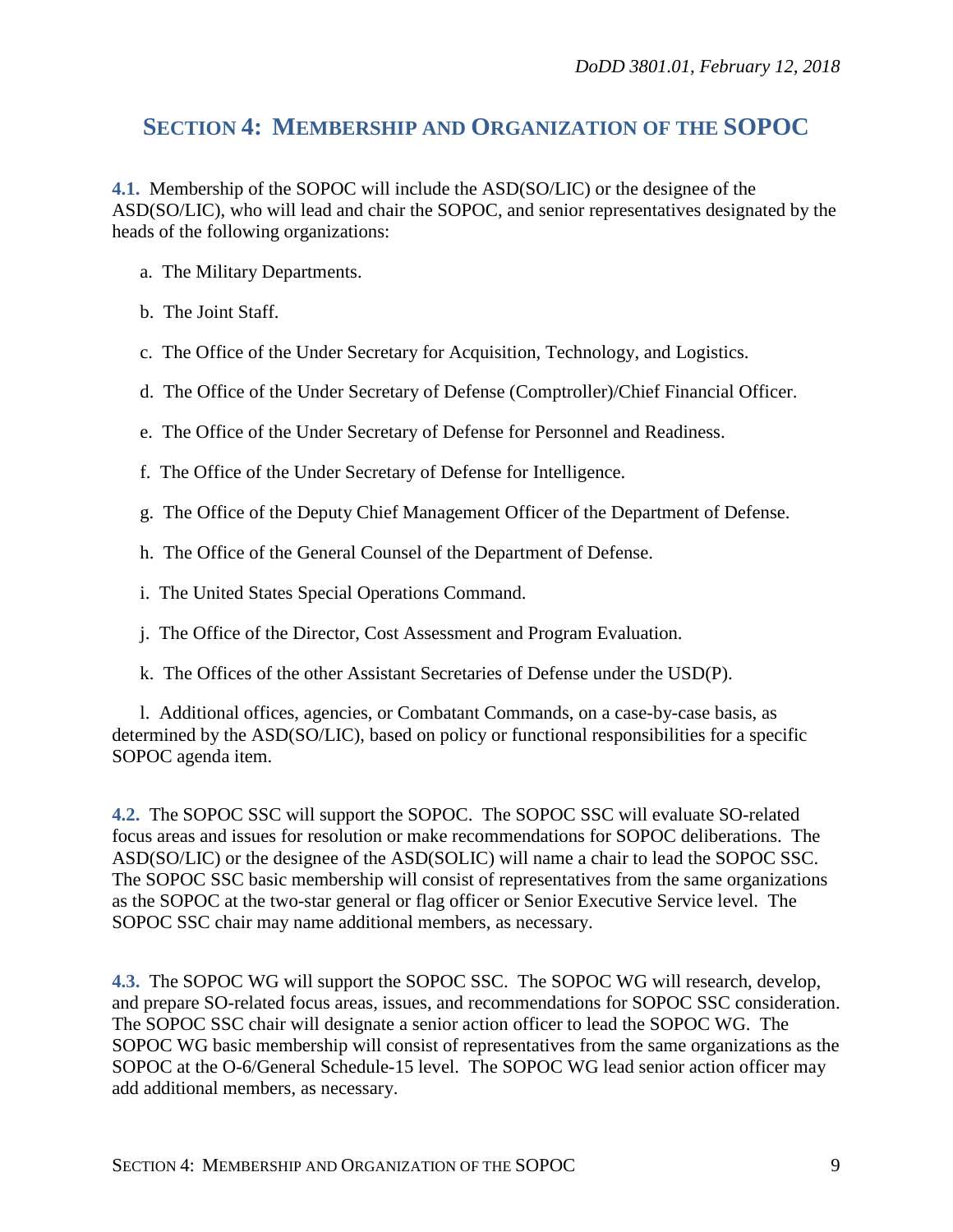## <span id="page-8-0"></span>**SECTION 4: MEMBERSHIP AND ORGANIZATION OF THE SOPOC**

**4.1.** Membership of the SOPOC will include the ASD(SO/LIC) or the designee of the ASD(SO/LIC), who will lead and chair the SOPOC, and senior representatives designated by the heads of the following organizations:

- a. The Military Departments.
- b. The Joint Staff.
- c. The Office of the Under Secretary for Acquisition, Technology, and Logistics.
- d. The Office of the Under Secretary of Defense (Comptroller)/Chief Financial Officer.
- e. The Office of the Under Secretary of Defense for Personnel and Readiness.
- f. The Office of the Under Secretary of Defense for Intelligence.
- g. The Office of the Deputy Chief Management Officer of the Department of Defense.
- h. The Office of the General Counsel of the Department of Defense.
- i. The United States Special Operations Command.
- j. The Office of the Director, Cost Assessment and Program Evaluation.
- k. The Offices of the other Assistant Secretaries of Defense under the USD(P).

l. Additional offices, agencies, or Combatant Commands, on a case-by-case basis, as determined by the ASD(SO/LIC), based on policy or functional responsibilities for a specific SOPOC agenda item.

**4.2.** The SOPOC SSC will support the SOPOC. The SOPOC SSC will evaluate SO-related focus areas and issues for resolution or make recommendations for SOPOC deliberations. The ASD(SO/LIC) or the designee of the ASD(SOLIC) will name a chair to lead the SOPOC SSC. The SOPOC SSC basic membership will consist of representatives from the same organizations as the SOPOC at the two-star general or flag officer or Senior Executive Service level. The SOPOC SSC chair may name additional members, as necessary.

**4.3.** The SOPOC WG will support the SOPOC SSC. The SOPOC WG will research, develop, and prepare SO-related focus areas, issues, and recommendations for SOPOC SSC consideration. The SOPOC SSC chair will designate a senior action officer to lead the SOPOC WG. The SOPOC WG basic membership will consist of representatives from the same organizations as the SOPOC at the O-6/General Schedule-15 level. The SOPOC WG lead senior action officer may add additional members, as necessary.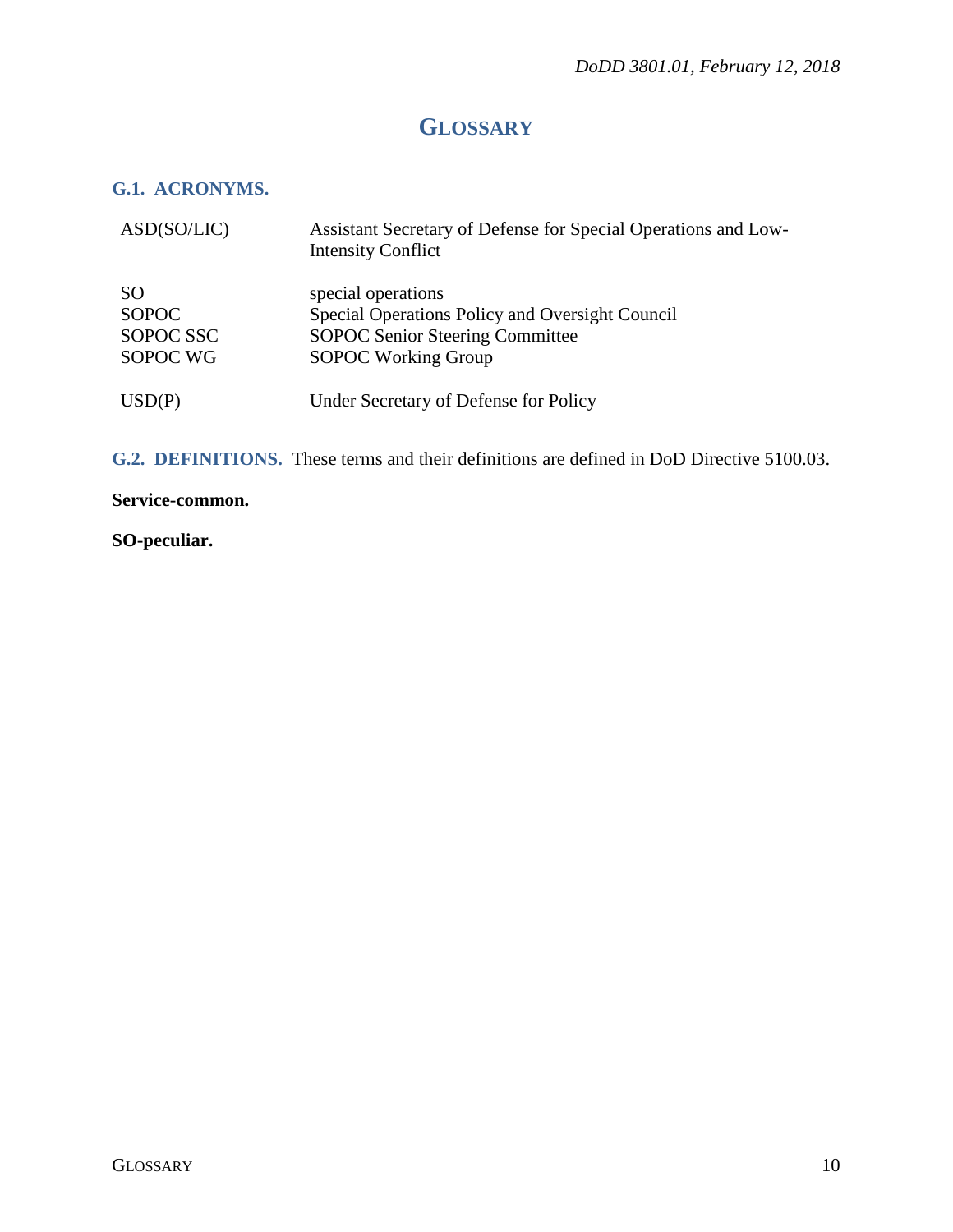# **GLOSSARY**

### <span id="page-9-1"></span><span id="page-9-0"></span>**G.1. ACRONYMS.**

| ASD(SO/LIC)                                        | Assistant Secretary of Defense for Special Operations and Low-<br><b>Intensity Conflict</b>                                                   |
|----------------------------------------------------|-----------------------------------------------------------------------------------------------------------------------------------------------|
| <b>SO</b><br><b>SOPOC</b><br>SOPOC SSC<br>SOPOC WG | special operations<br>Special Operations Policy and Oversight Council<br><b>SOPOC Senior Steering Committee</b><br><b>SOPOC Working Group</b> |
| USD(P)                                             | Under Secretary of Defense for Policy                                                                                                         |

<span id="page-9-2"></span>**G.2. DEFINITIONS.** These terms and their definitions are defined in DoD Directive 5100.03.

#### **Service-common.**

#### **SO-peculiar.**